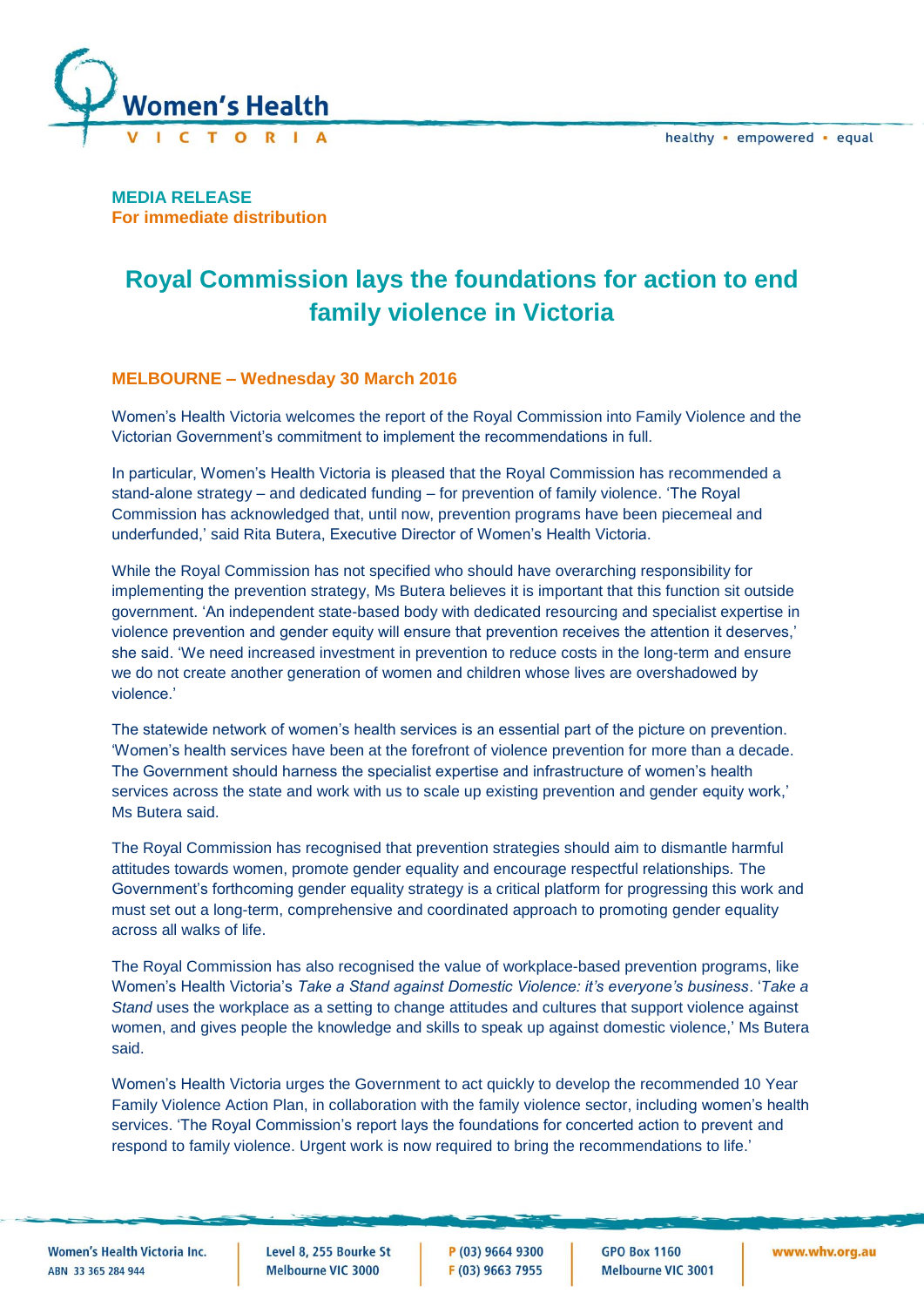

**MEDIA RELEASE For immediate distribution**

## **Royal Commission lays the foundations for action to end family violence in Victoria**

## **MELBOURNE – Wednesday 30 March 2016**

Women's Health Victoria welcomes the report of the Royal Commission into Family Violence and the Victorian Government's commitment to implement the recommendations in full.

In particular, Women's Health Victoria is pleased that the Royal Commission has recommended a stand-alone strategy – and dedicated funding – for prevention of family violence. 'The Royal Commission has acknowledged that, until now, prevention programs have been piecemeal and underfunded,' said Rita Butera, Executive Director of Women's Health Victoria.

While the Royal Commission has not specified who should have overarching responsibility for implementing the prevention strategy, Ms Butera believes it is important that this function sit outside government. 'An independent state-based body with dedicated resourcing and specialist expertise in violence prevention and gender equity will ensure that prevention receives the attention it deserves,' she said. 'We need increased investment in prevention to reduce costs in the long-term and ensure we do not create another generation of women and children whose lives are overshadowed by violence.'

The statewide network of women's health services is an essential part of the picture on prevention. 'Women's health services have been at the forefront of violence prevention for more than a decade. The Government should harness the specialist expertise and infrastructure of women's health services across the state and work with us to scale up existing prevention and gender equity work,' Ms Butera said.

The Royal Commission has recognised that prevention strategies should aim to dismantle harmful attitudes towards women, promote gender equality and encourage respectful relationships. The Government's forthcoming gender equality strategy is a critical platform for progressing this work and must set out a long-term, comprehensive and coordinated approach to promoting gender equality across all walks of life.

The Royal Commission has also recognised the value of workplace-based prevention programs, like Women's Health Victoria's *Take a Stand against Domestic Violence: it's everyone's business*. '*Take a Stand* uses the workplace as a setting to change attitudes and cultures that support violence against women, and gives people the knowledge and skills to speak up against domestic violence,' Ms Butera said.

Women's Health Victoria urges the Government to act quickly to develop the recommended 10 Year Family Violence Action Plan, in collaboration with the family violence sector, including women's health services. 'The Royal Commission's report lays the foundations for concerted action to prevent and respond to family violence. Urgent work is now required to bring the recommendations to life.'

**Women's Health Victoria Inc.** ARN 33 365 284 944

Level 8, 255 Bourke St Melbourne VIC 3000

P (03) 9664 9300 F (03) 9663 7955

**GPO Box 1160 Melbourne VIC 3001**